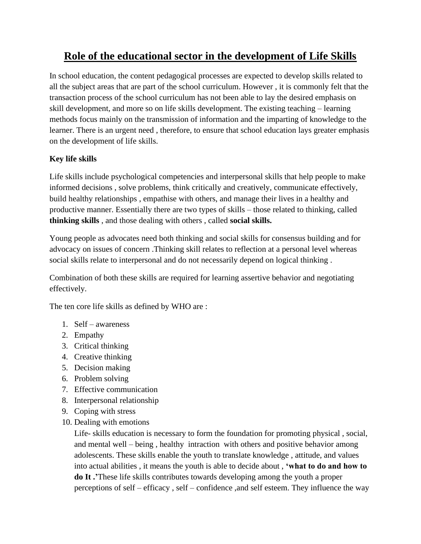## **Role of the educational sector in the development of Life Skills**

In school education, the content pedagogical processes are expected to develop skills related to all the subject areas that are part of the school curriculum. However , it is commonly felt that the transaction process of the school curriculum has not been able to lay the desired emphasis on skill development, and more so on life skills development. The existing teaching – learning methods focus mainly on the transmission of information and the imparting of knowledge to the learner. There is an urgent need , therefore, to ensure that school education lays greater emphasis on the development of life skills.

## **Key life skills**

Life skills include psychological competencies and interpersonal skills that help people to make informed decisions , solve problems, think critically and creatively, communicate effectively, build healthy relationships , empathise with others, and manage their lives in a healthy and productive manner. Essentially there are two types of skills – those related to thinking, called **thinking skills** , and those dealing with others , called **social skills.**

Young people as advocates need both thinking and social skills for consensus building and for advocacy on issues of concern .Thinking skill relates to reflection at a personal level whereas social skills relate to interpersonal and do not necessarily depend on logical thinking .

Combination of both these skills are required for learning assertive behavior and negotiating effectively.

The ten core life skills as defined by WHO are :

- 1. Self awareness
- 2. Empathy
- 3. Critical thinking
- 4. Creative thinking
- 5. Decision making
- 6. Problem solving
- 7. Effective communication
- 8. Interpersonal relationship
- 9. Coping with stress
- 10. Dealing with emotions

Life- skills education is necessary to form the foundation for promoting physical , social, and mental well – being , healthy intraction with others and positive behavior among adolescents. These skills enable the youth to translate knowledge , attitude, and values into actual abilities , it means the youth is able to decide about , **'what to do and how to do It .'**These life skills contributes towards developing among the youth a proper perceptions of self – efficacy , self – confidence ,and self esteem. They influence the way